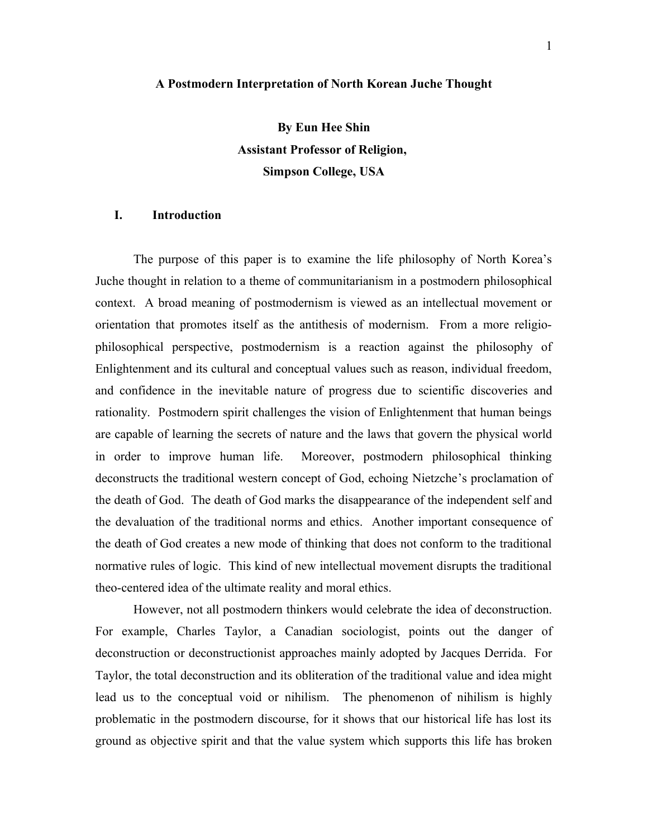#### **A Postmodern Interpretation of North Korean Juche Thought**

**By Eun Hee Shin Assistant Professor of Religion, Simpson College, USA**

# **I. Introduction**

The purpose of this paper is to examine the life philosophy of North Korea's Juche thought in relation to a theme of communitarianism in a postmodern philosophical context. A broad meaning of postmodernism is viewed as an intellectual movement or orientation that promotes itself as the antithesis of modernism. From a more religiophilosophical perspective, postmodernism is a reaction against the philosophy of Enlightenment and its cultural and conceptual values such as reason, individual freedom, and confidence in the inevitable nature of progress due to scientific discoveries and rationality. Postmodern spirit challenges the vision of Enlightenment that human beings are capable of learning the secrets of nature and the laws that govern the physical world in order to improve human life. Moreover, postmodern philosophical thinking deconstructs the traditional western concept of God, echoing Nietzche's proclamation of the death of God. The death of God marks the disappearance of the independent self and the devaluation of the traditional norms and ethics. Another important consequence of the death of God creates a new mode of thinking that does not conform to the traditional normative rules of logic. This kind of new intellectual movement disrupts the traditional theo-centered idea of the ultimate reality and moral ethics.

However, not all postmodern thinkers would celebrate the idea of deconstruction. For example, Charles Taylor, a Canadian sociologist, points out the danger of deconstruction or deconstructionist approaches mainly adopted by Jacques Derrida. For Taylor, the total deconstruction and its obliteration of the traditional value and idea might lead us to the conceptual void or nihilism. The phenomenon of nihilism is highly problematic in the postmodern discourse, for it shows that our historical life has lost its ground as objective spirit and that the value system which supports this life has broken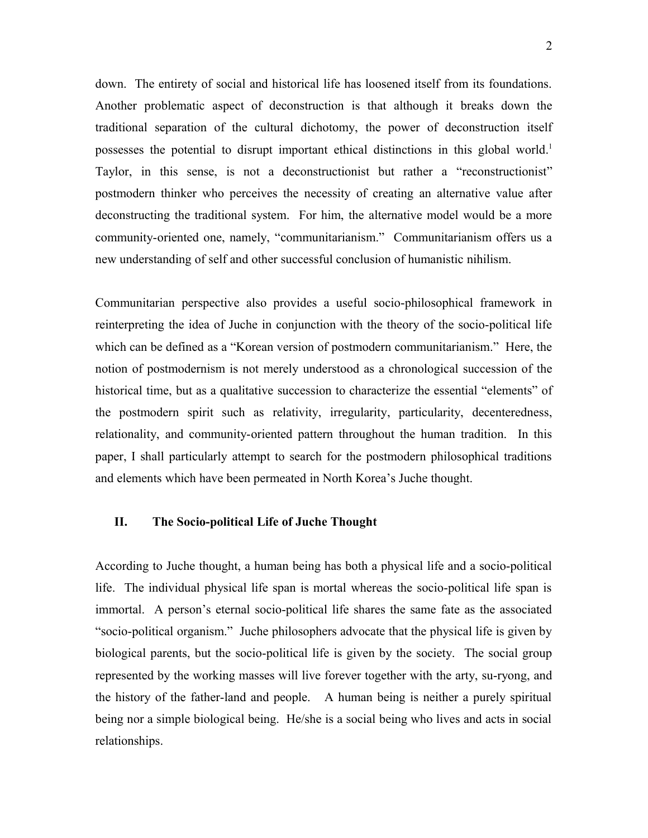down. The entirety of social and historical life has loosened itself from its foundations. Another problematic aspect of deconstruction is that although it breaks down the traditional separation of the cultural dichotomy, the power of deconstruction itself possesses the potential to disrupt important ethical distinctions in this global world. 1 Taylor, in this sense, is not a deconstructionist but rather a "reconstructionist" postmodern thinker who perceives the necessity of creating an alternative value after deconstructing the traditional system. For him, the alternative model would be a more community-oriented one, namely, "communitarianism." Communitarianism offers us a new understanding of self and other successful conclusion of humanistic nihilism.

Communitarian perspective also provides a useful socio-philosophical framework in reinterpreting the idea of Juche in conjunction with the theory of the socio-political life which can be defined as a "Korean version of postmodern communitarianism." Here, the notion of postmodernism is not merely understood as a chronological succession of the historical time, but as a qualitative succession to characterize the essential "elements" of the postmodern spirit such as relativity, irregularity, particularity, decenteredness, relationality, and community-oriented pattern throughout the human tradition. In this paper, I shall particularly attempt to search for the postmodern philosophical traditions and elements which have been permeated in North Korea's Juche thought.

### **II. The Socio-political Life of Juche Thought**

According to Juche thought, a human being has both a physical life and a socio-political life. The individual physical life span is mortal whereas the socio-political life span is immortal. A person's eternal socio-political life shares the same fate as the associated "socio-political organism." Juche philosophers advocate that the physical life is given by biological parents, but the socio-political life is given by the society. The social group represented by the working masses will live forever together with the arty, su-ryong, and the history of the father-land and people. A human being is neither a purely spiritual being nor a simple biological being. He/she is a social being who lives and acts in social relationships.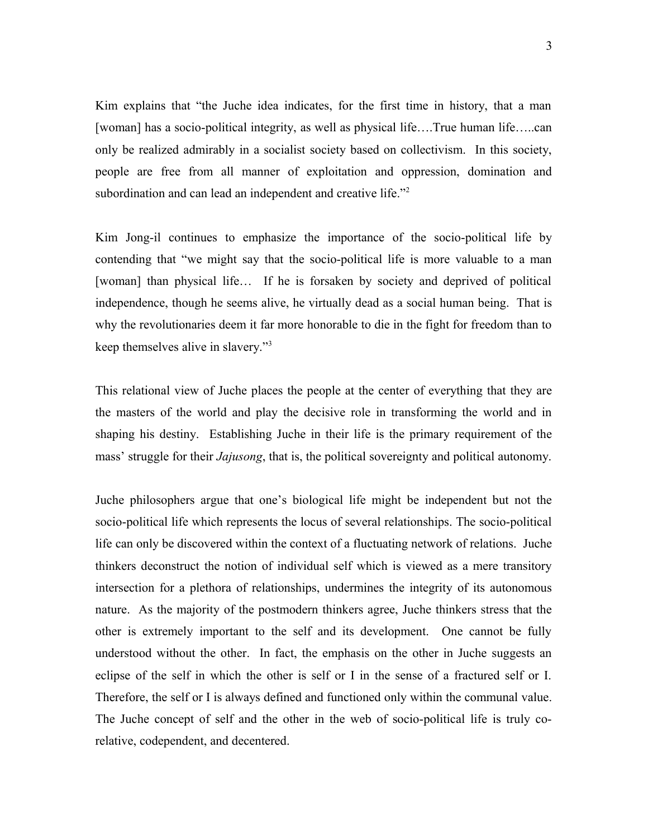Kim explains that "the Juche idea indicates, for the first time in history, that a man [woman] has a socio-political integrity, as well as physical life….True human life…..can only be realized admirably in a socialist society based on collectivism. In this society, people are free from all manner of exploitation and oppression, domination and subordination and can lead an independent and creative life."<sup>2</sup>

Kim Jong-il continues to emphasize the importance of the socio-political life by contending that "we might say that the socio-political life is more valuable to a man [woman] than physical life... If he is forsaken by society and deprived of political independence, though he seems alive, he virtually dead as a social human being. That is why the revolutionaries deem it far more honorable to die in the fight for freedom than to keep themselves alive in slavery."<sup>3</sup>

This relational view of Juche places the people at the center of everything that they are the masters of the world and play the decisive role in transforming the world and in shaping his destiny. Establishing Juche in their life is the primary requirement of the mass' struggle for their *Jajusong*, that is, the political sovereignty and political autonomy.

Juche philosophers argue that one's biological life might be independent but not the socio-political life which represents the locus of several relationships. The socio-political life can only be discovered within the context of a fluctuating network of relations. Juche thinkers deconstruct the notion of individual self which is viewed as a mere transitory intersection for a plethora of relationships, undermines the integrity of its autonomous nature. As the majority of the postmodern thinkers agree, Juche thinkers stress that the other is extremely important to the self and its development. One cannot be fully understood without the other. In fact, the emphasis on the other in Juche suggests an eclipse of the self in which the other is self or I in the sense of a fractured self or I. Therefore, the self or I is always defined and functioned only within the communal value. The Juche concept of self and the other in the web of socio-political life is truly corelative, codependent, and decentered.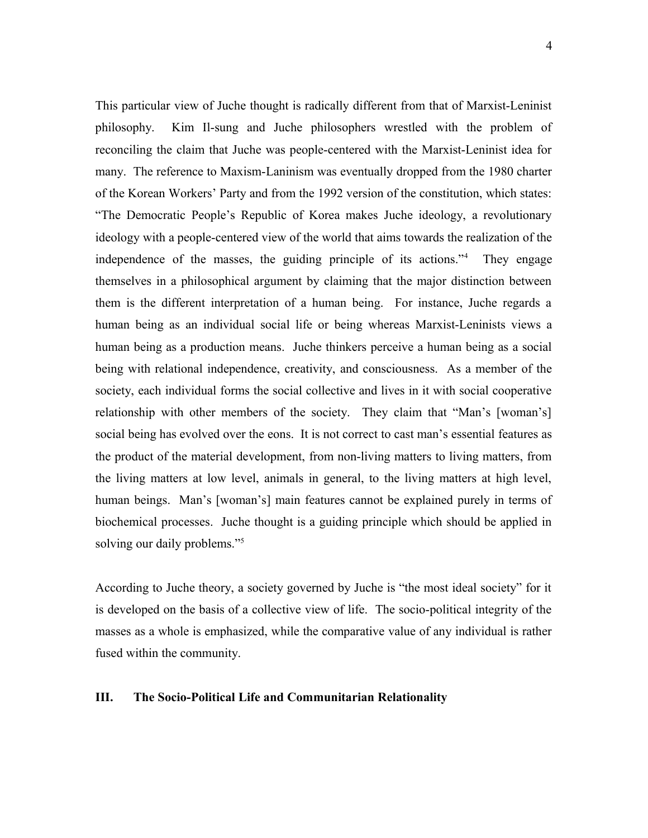This particular view of Juche thought is radically different from that of Marxist-Leninist philosophy. Kim Il-sung and Juche philosophers wrestled with the problem of reconciling the claim that Juche was people-centered with the Marxist-Leninist idea for many. The reference to Maxism-Laninism was eventually dropped from the 1980 charter of the Korean Workers' Party and from the 1992 version of the constitution, which states: "The Democratic People's Republic of Korea makes Juche ideology, a revolutionary ideology with a people-centered view of the world that aims towards the realization of the independence of the masses, the guiding principle of its actions."<sup>4</sup> They engage themselves in a philosophical argument by claiming that the major distinction between them is the different interpretation of a human being. For instance, Juche regards a human being as an individual social life or being whereas Marxist-Leninists views a human being as a production means. Juche thinkers perceive a human being as a social being with relational independence, creativity, and consciousness. As a member of the society, each individual forms the social collective and lives in it with social cooperative relationship with other members of the society. They claim that "Man's [woman's] social being has evolved over the eons. It is not correct to cast man's essential features as the product of the material development, from non-living matters to living matters, from the living matters at low level, animals in general, to the living matters at high level, human beings. Man's [woman's] main features cannot be explained purely in terms of biochemical processes. Juche thought is a guiding principle which should be applied in solving our daily problems."<sup>5</sup>

According to Juche theory, a society governed by Juche is "the most ideal society" for it is developed on the basis of a collective view of life. The socio-political integrity of the masses as a whole is emphasized, while the comparative value of any individual is rather fused within the community.

### **III. The Socio-Political Life and Communitarian Relationality**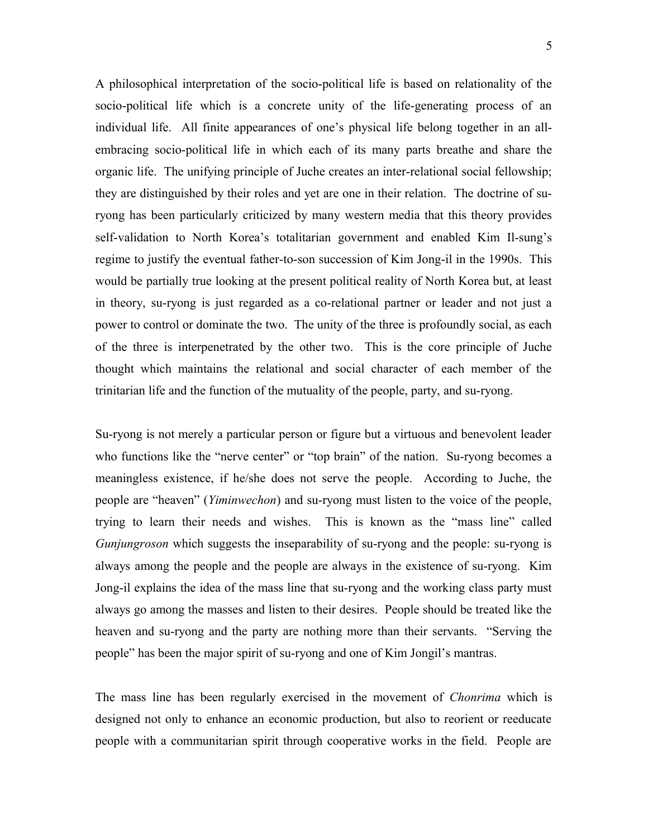A philosophical interpretation of the socio-political life is based on relationality of the socio-political life which is a concrete unity of the life-generating process of an individual life. All finite appearances of one's physical life belong together in an allembracing socio-political life in which each of its many parts breathe and share the organic life. The unifying principle of Juche creates an inter-relational social fellowship; they are distinguished by their roles and yet are one in their relation. The doctrine of suryong has been particularly criticized by many western media that this theory provides self-validation to North Korea's totalitarian government and enabled Kim Il-sung's regime to justify the eventual father-to-son succession of Kim Jong-il in the 1990s. This would be partially true looking at the present political reality of North Korea but, at least in theory, su-ryong is just regarded as a co-relational partner or leader and not just a power to control or dominate the two. The unity of the three is profoundly social, as each of the three is interpenetrated by the other two. This is the core principle of Juche thought which maintains the relational and social character of each member of the trinitarian life and the function of the mutuality of the people, party, and su-ryong.

Su-ryong is not merely a particular person or figure but a virtuous and benevolent leader who functions like the "nerve center" or "top brain" of the nation. Su-ryong becomes a meaningless existence, if he/she does not serve the people. According to Juche, the people are "heaven" (*Yiminwechon*) and su-ryong must listen to the voice of the people, trying to learn their needs and wishes. This is known as the "mass line" called *Gunjungroson* which suggests the inseparability of su-ryong and the people: su-ryong is always among the people and the people are always in the existence of su-ryong. Kim Jong-il explains the idea of the mass line that su-ryong and the working class party must always go among the masses and listen to their desires. People should be treated like the heaven and su-ryong and the party are nothing more than their servants. "Serving the people" has been the major spirit of su-ryong and one of Kim Jongil's mantras.

The mass line has been regularly exercised in the movement of *Chonrima* which is designed not only to enhance an economic production, but also to reorient or reeducate people with a communitarian spirit through cooperative works in the field. People are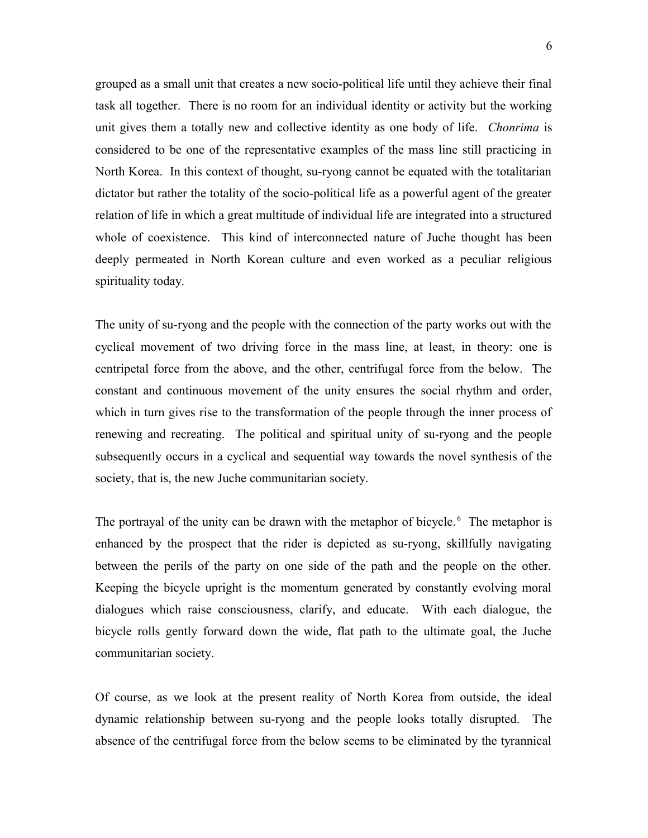grouped as a small unit that creates a new socio-political life until they achieve their final task all together. There is no room for an individual identity or activity but the working unit gives them a totally new and collective identity as one body of life. *Chonrima* is considered to be one of the representative examples of the mass line still practicing in North Korea. In this context of thought, su-ryong cannot be equated with the totalitarian dictator but rather the totality of the socio-political life as a powerful agent of the greater relation of life in which a great multitude of individual life are integrated into a structured whole of coexistence. This kind of interconnected nature of Juche thought has been deeply permeated in North Korean culture and even worked as a peculiar religious spirituality today.

The unity of su-ryong and the people with the connection of the party works out with the cyclical movement of two driving force in the mass line, at least, in theory: one is centripetal force from the above, and the other, centrifugal force from the below. The constant and continuous movement of the unity ensures the social rhythm and order, which in turn gives rise to the transformation of the people through the inner process of renewing and recreating. The political and spiritual unity of su-ryong and the people subsequently occurs in a cyclical and sequential way towards the novel synthesis of the society, that is, the new Juche communitarian society.

The portrayal of the unity can be drawn with the metaphor of bicycle.<sup>6</sup> The metaphor is enhanced by the prospect that the rider is depicted as su-ryong, skillfully navigating between the perils of the party on one side of the path and the people on the other. Keeping the bicycle upright is the momentum generated by constantly evolving moral dialogues which raise consciousness, clarify, and educate. With each dialogue, the bicycle rolls gently forward down the wide, flat path to the ultimate goal, the Juche communitarian society.

Of course, as we look at the present reality of North Korea from outside, the ideal dynamic relationship between su-ryong and the people looks totally disrupted. The absence of the centrifugal force from the below seems to be eliminated by the tyrannical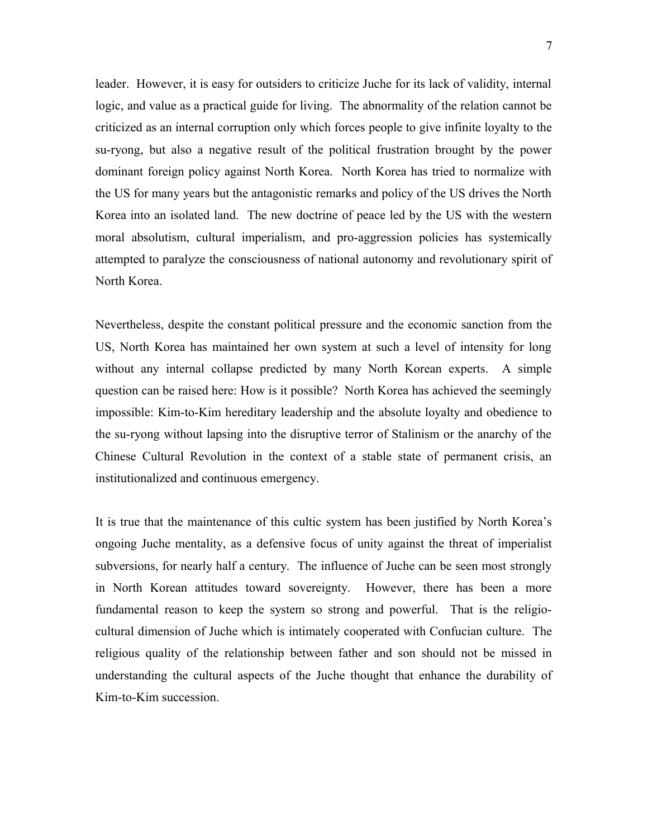leader. However, it is easy for outsiders to criticize Juche for its lack of validity, internal logic, and value as a practical guide for living. The abnormality of the relation cannot be criticized as an internal corruption only which forces people to give infinite loyalty to the su-ryong, but also a negative result of the political frustration brought by the power dominant foreign policy against North Korea. North Korea has tried to normalize with the US for many years but the antagonistic remarks and policy of the US drives the North Korea into an isolated land. The new doctrine of peace led by the US with the western moral absolutism, cultural imperialism, and pro-aggression policies has systemically attempted to paralyze the consciousness of national autonomy and revolutionary spirit of North Korea.

Nevertheless, despite the constant political pressure and the economic sanction from the US, North Korea has maintained her own system at such a level of intensity for long without any internal collapse predicted by many North Korean experts. A simple question can be raised here: How is it possible? North Korea has achieved the seemingly impossible: Kim-to-Kim hereditary leadership and the absolute loyalty and obedience to the su-ryong without lapsing into the disruptive terror of Stalinism or the anarchy of the Chinese Cultural Revolution in the context of a stable state of permanent crisis, an institutionalized and continuous emergency.

It is true that the maintenance of this cultic system has been justified by North Korea's ongoing Juche mentality, as a defensive focus of unity against the threat of imperialist subversions, for nearly half a century. The influence of Juche can be seen most strongly in North Korean attitudes toward sovereignty. However, there has been a more fundamental reason to keep the system so strong and powerful. That is the religiocultural dimension of Juche which is intimately cooperated with Confucian culture. The religious quality of the relationship between father and son should not be missed in understanding the cultural aspects of the Juche thought that enhance the durability of Kim-to-Kim succession.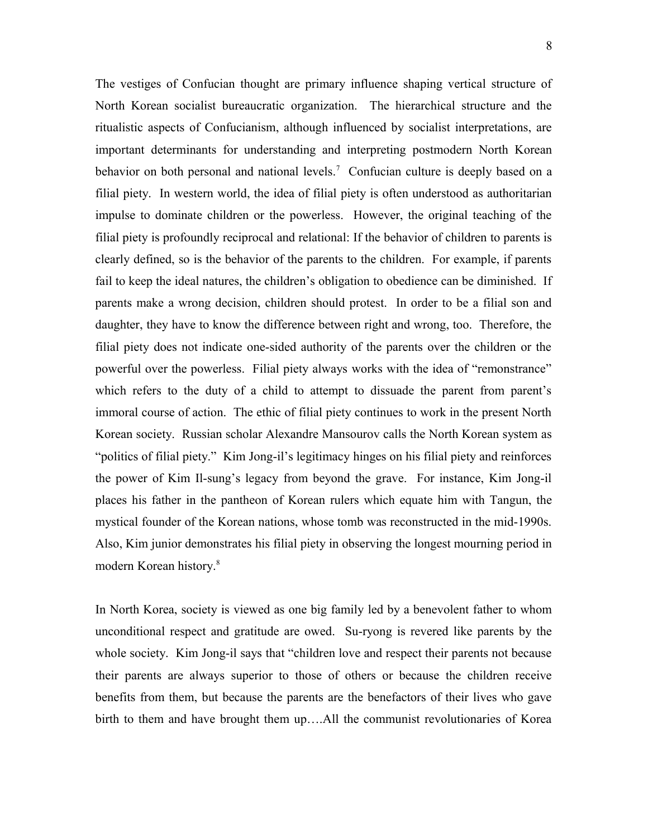The vestiges of Confucian thought are primary influence shaping vertical structure of North Korean socialist bureaucratic organization. The hierarchical structure and the ritualistic aspects of Confucianism, although influenced by socialist interpretations, are important determinants for understanding and interpreting postmodern North Korean behavior on both personal and national levels.<sup>7</sup> Confucian culture is deeply based on a filial piety. In western world, the idea of filial piety is often understood as authoritarian impulse to dominate children or the powerless. However, the original teaching of the filial piety is profoundly reciprocal and relational: If the behavior of children to parents is clearly defined, so is the behavior of the parents to the children. For example, if parents fail to keep the ideal natures, the children's obligation to obedience can be diminished. If parents make a wrong decision, children should protest. In order to be a filial son and daughter, they have to know the difference between right and wrong, too. Therefore, the filial piety does not indicate one-sided authority of the parents over the children or the powerful over the powerless. Filial piety always works with the idea of "remonstrance" which refers to the duty of a child to attempt to dissuade the parent from parent's immoral course of action. The ethic of filial piety continues to work in the present North Korean society. Russian scholar Alexandre Mansourov calls the North Korean system as "politics of filial piety." Kim Jong-il's legitimacy hinges on his filial piety and reinforces the power of Kim Il-sung's legacy from beyond the grave. For instance, Kim Jong-il places his father in the pantheon of Korean rulers which equate him with Tangun, the mystical founder of the Korean nations, whose tomb was reconstructed in the mid-1990s. Also, Kim junior demonstrates his filial piety in observing the longest mourning period in modern Korean history.<sup>8</sup>

In North Korea, society is viewed as one big family led by a benevolent father to whom unconditional respect and gratitude are owed. Su-ryong is revered like parents by the whole society. Kim Jong-il says that "children love and respect their parents not because their parents are always superior to those of others or because the children receive benefits from them, but because the parents are the benefactors of their lives who gave birth to them and have brought them up….All the communist revolutionaries of Korea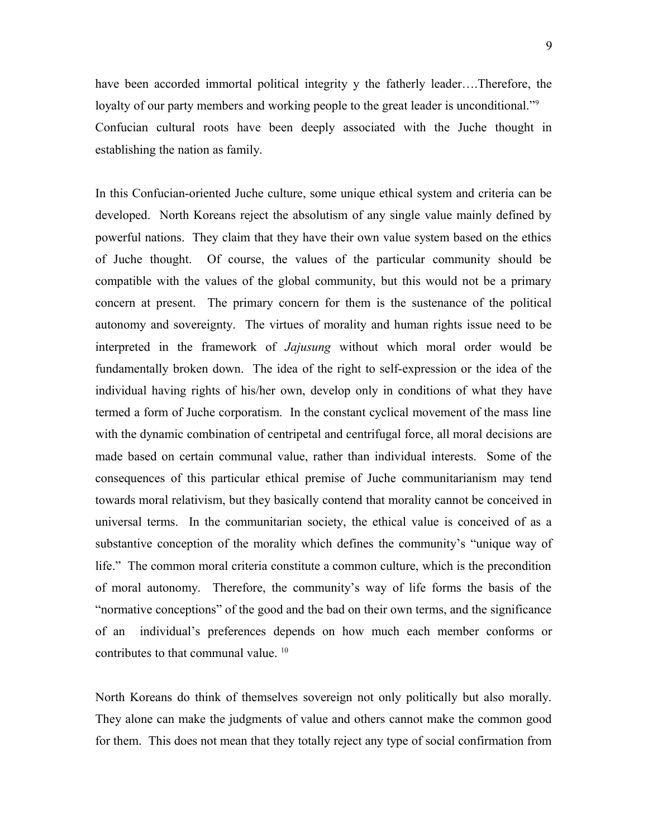have been accorded immortal political integrity y the fatherly leader....Therefore, the loyalty of our party members and working people to the great leader is unconditional."<sup>9</sup> Confucian cultural roots have been deeply associated with the Juche thought in establishing the nation as family.

In this Confucian-oriented Juche culture, some unique ethical system and criteria can be developed. North Koreans reject the absolutism of any single value mainly defined by powerful nations. They claim that they have their own value system based on the ethics of Juche thought. Of course, the values of the particular community should be compatible with the values of the global community, but this would not be a primary concern at present. The primary concern for them is the sustenance of the political autonomy and sovereignty. The virtues of morality and human rights issue need to be interpreted in the framework of *Jajusung* without which moral order would be fundamentally broken down. The idea of the right to self-expression or the idea of the individual having rights of his/her own, develop only in conditions of what they have termed a form of Juche corporatism. In the constant cyclical movement of the mass line with the dynamic combination of centripetal and centrifugal force, all moral decisions are made based on certain communal value, rather than individual interests. Some of the consequences of this particular ethical premise of Juche communitarianism may tend towards moral relativism, but they basically contend that morality cannot be conceived in universal terms. In the communitarian society, the ethical value is conceived of as a substantive conception of the morality which defines the community's "unique way of life." The common moral criteria constitute a common culture, which is the precondition of moral autonomy. Therefore, the community's way of life forms the basis of the "normative conceptions" of the good and the bad on their own terms, and the significance of an individual's preferences depends on how much each member conforms or contributes to that communal value.<sup>10</sup>

North Koreans do think of themselves sovereign not only politically but also morally. They alone can make the judgments of value and others cannot make the common good for them. This does not mean that they totally reject any type of social confirmation from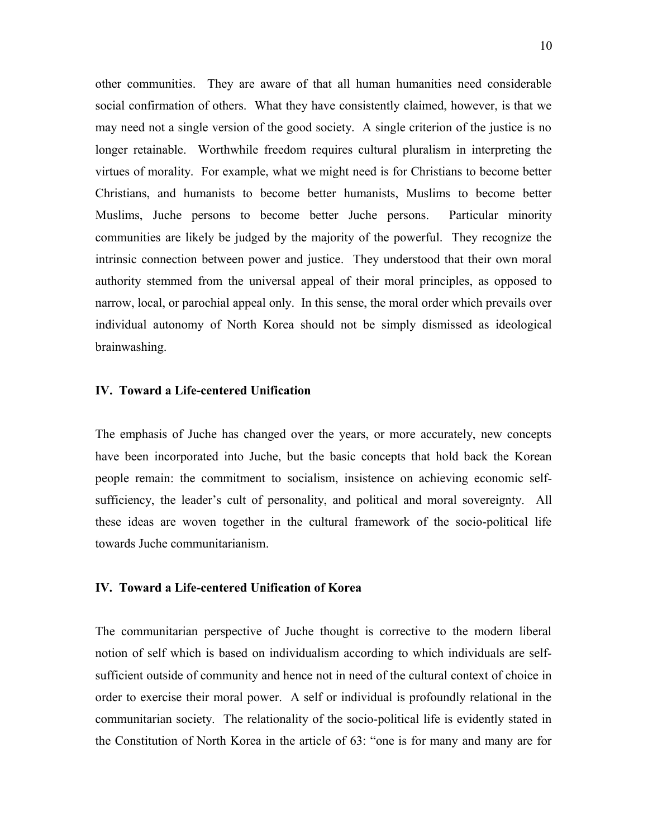other communities. They are aware of that all human humanities need considerable social confirmation of others. What they have consistently claimed, however, is that we may need not a single version of the good society. A single criterion of the justice is no longer retainable. Worthwhile freedom requires cultural pluralism in interpreting the virtues of morality. For example, what we might need is for Christians to become better Christians, and humanists to become better humanists, Muslims to become better Muslims, Juche persons to become better Juche persons. Particular minority communities are likely be judged by the majority of the powerful. They recognize the intrinsic connection between power and justice. They understood that their own moral authority stemmed from the universal appeal of their moral principles, as opposed to narrow, local, or parochial appeal only. In this sense, the moral order which prevails over individual autonomy of North Korea should not be simply dismissed as ideological brainwashing.

## **IV. Toward a Life-centered Unification**

The emphasis of Juche has changed over the years, or more accurately, new concepts have been incorporated into Juche, but the basic concepts that hold back the Korean people remain: the commitment to socialism, insistence on achieving economic selfsufficiency, the leader's cult of personality, and political and moral sovereignty. All these ideas are woven together in the cultural framework of the socio-political life towards Juche communitarianism.

# **IV. Toward a Life-centered Unification of Korea**

The communitarian perspective of Juche thought is corrective to the modern liberal notion of self which is based on individualism according to which individuals are selfsufficient outside of community and hence not in need of the cultural context of choice in order to exercise their moral power. A self or individual is profoundly relational in the communitarian society. The relationality of the socio-political life is evidently stated in the Constitution of North Korea in the article of 63: "one is for many and many are for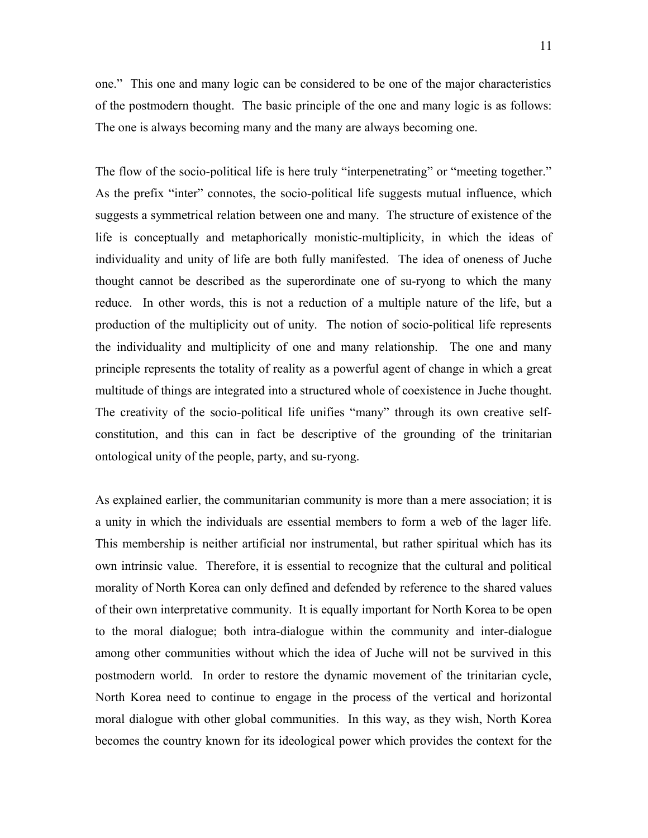one." This one and many logic can be considered to be one of the major characteristics of the postmodern thought. The basic principle of the one and many logic is as follows: The one is always becoming many and the many are always becoming one.

The flow of the socio-political life is here truly "interpenetrating" or "meeting together." As the prefix "inter" connotes, the socio-political life suggests mutual influence, which suggests a symmetrical relation between one and many. The structure of existence of the life is conceptually and metaphorically monistic-multiplicity, in which the ideas of individuality and unity of life are both fully manifested. The idea of oneness of Juche thought cannot be described as the superordinate one of su-ryong to which the many reduce. In other words, this is not a reduction of a multiple nature of the life, but a production of the multiplicity out of unity. The notion of socio-political life represents the individuality and multiplicity of one and many relationship. The one and many principle represents the totality of reality as a powerful agent of change in which a great multitude of things are integrated into a structured whole of coexistence in Juche thought. The creativity of the socio-political life unifies "many" through its own creative selfconstitution, and this can in fact be descriptive of the grounding of the trinitarian ontological unity of the people, party, and su-ryong.

As explained earlier, the communitarian community is more than a mere association; it is a unity in which the individuals are essential members to form a web of the lager life. This membership is neither artificial nor instrumental, but rather spiritual which has its own intrinsic value. Therefore, it is essential to recognize that the cultural and political morality of North Korea can only defined and defended by reference to the shared values of their own interpretative community. It is equally important for North Korea to be open to the moral dialogue; both intra-dialogue within the community and inter-dialogue among other communities without which the idea of Juche will not be survived in this postmodern world. In order to restore the dynamic movement of the trinitarian cycle, North Korea need to continue to engage in the process of the vertical and horizontal moral dialogue with other global communities. In this way, as they wish, North Korea becomes the country known for its ideological power which provides the context for the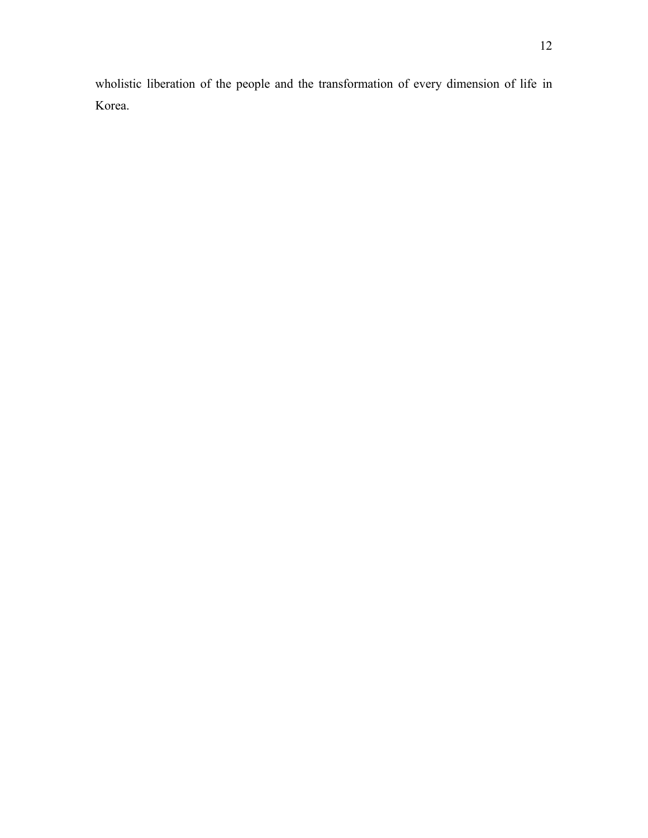wholistic liberation of the people and the transformation of every dimension of life in Korea.